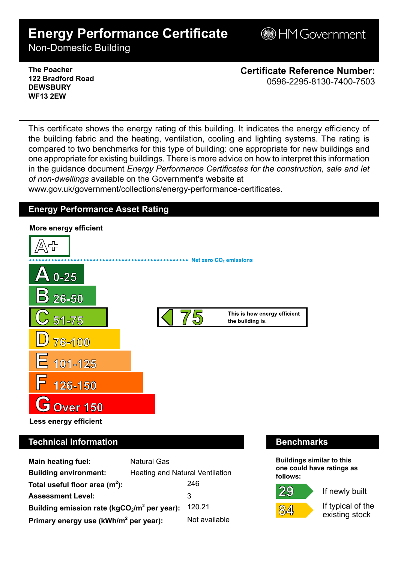# **Energy Performance Certificate**

**BHM Government** 

Non-Domestic Building

### **The Poacher 122 Bradford Road DEWSBURY WF13 2EW**

**Certificate Reference Number:** 0596-2295-8130-7400-7503

This certificate shows the energy rating of this building. It indicates the energy efficiency of the building fabric and the heating, ventilation, cooling and lighting systems. The rating is compared to two benchmarks for this type of building: one appropriate for new buildings and one appropriate for existing buildings. There is more advice on how to interpret this information in the guidance document *Energy Performance Certificates for the construction, sale and let of non-dwellings* available on the Government's website at

www.gov.uk/government/collections/energy-performance-certificates.

# **Energy Performance Asset Rating**



# **Technical Information Benchmarks**

| Main heating fuel:                                | <b>Natural Gas</b>                     |               |
|---------------------------------------------------|----------------------------------------|---------------|
| <b>Building environment:</b>                      | <b>Heating and Natural Ventilation</b> |               |
| Total useful floor area $(m2)$ :                  |                                        | 246           |
| <b>Assessment Level:</b>                          |                                        | 3             |
| Building emission rate ( $kgCO2/m2$ per year):    |                                        | 120.21        |
| Primary energy use (kWh/m <sup>2</sup> per year): |                                        | Not available |

**Buildings similar to this one could have ratings as follows:**

29



If newly built

If typical of the existing stock